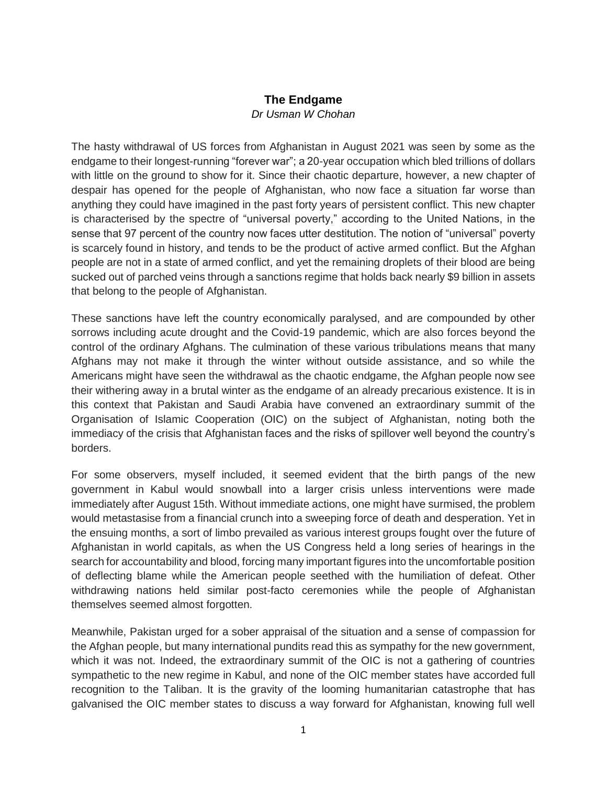## **The Endgame**

## *Dr Usman W Chohan*

The hasty withdrawal of US forces from Afghanistan in August 2021 was seen by some as the endgame to their longest-running "forever war"; a 20-year occupation which bled trillions of dollars with little on the ground to show for it. Since their chaotic departure, however, a new chapter of despair has opened for the people of Afghanistan, who now face a situation far worse than anything they could have imagined in the past forty years of persistent conflict. This new chapter is characterised by the spectre of "universal poverty," according to the United Nations, in the sense that 97 percent of the country now faces utter destitution. The notion of "universal" poverty is scarcely found in history, and tends to be the product of active armed conflict. But the Afghan people are not in a state of armed conflict, and yet the remaining droplets of their blood are being sucked out of parched veins through a sanctions regime that holds back nearly \$9 billion in assets that belong to the people of Afghanistan.

These sanctions have left the country economically paralysed, and are compounded by other sorrows including acute drought and the Covid-19 pandemic, which are also forces beyond the control of the ordinary Afghans. The culmination of these various tribulations means that many Afghans may not make it through the winter without outside assistance, and so while the Americans might have seen the withdrawal as the chaotic endgame, the Afghan people now see their withering away in a brutal winter as the endgame of an already precarious existence. It is in this context that Pakistan and Saudi Arabia have convened an extraordinary summit of the Organisation of Islamic Cooperation (OIC) on the subject of Afghanistan, noting both the immediacy of the crisis that Afghanistan faces and the risks of spillover well beyond the country's borders.

For some observers, myself included, it seemed evident that the birth pangs of the new government in Kabul would snowball into a larger crisis unless interventions were made immediately after August 15th. Without immediate actions, one might have surmised, the problem would metastasise from a financial crunch into a sweeping force of death and desperation. Yet in the ensuing months, a sort of limbo prevailed as various interest groups fought over the future of Afghanistan in world capitals, as when the US Congress held a long series of hearings in the search for accountability and blood, forcing many important figures into the uncomfortable position of deflecting blame while the American people seethed with the humiliation of defeat. Other withdrawing nations held similar post-facto ceremonies while the people of Afghanistan themselves seemed almost forgotten.

Meanwhile, Pakistan urged for a sober appraisal of the situation and a sense of compassion for the Afghan people, but many international pundits read this as sympathy for the new government, which it was not. Indeed, the extraordinary summit of the OIC is not a gathering of countries sympathetic to the new regime in Kabul, and none of the OIC member states have accorded full recognition to the Taliban. It is the gravity of the looming humanitarian catastrophe that has galvanised the OIC member states to discuss a way forward for Afghanistan, knowing full well